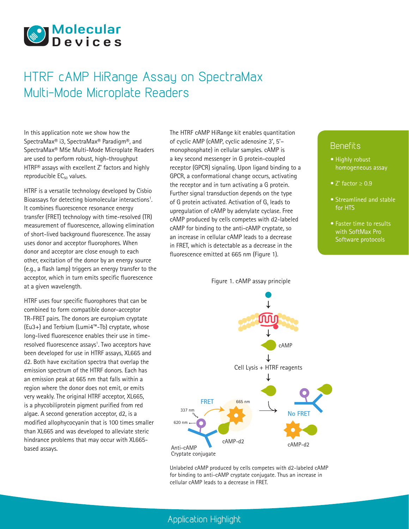

# HTRF cAMP HiRange Assay on SpectraMax Multi-Mode Microplate Readers

In this application note we show how the SpectraMax® i3, SpectraMax® Paradigm®, and SpectraMax® M5e Multi-Mode Microplate Readers are used to perform robust, high-throughput HTRF® assays with excellent Z' factors and highly reproducible  $EC_{50}$  values.

HTRF is a versatile technology developed by Cisbio Bioassays for detecting biomolecular interactions<sup>1</sup>. It combines fluorescence resonance energy transfer (FRET) technology with time-resolved (TR) measurement of fluorescence, allowing elimination of short-lived background fluorescence. The assay uses donor and acceptor fluorophores. When donor and acceptor are close enough to each other, excitation of the donor by an energy source (e.g., a flash lamp) triggers an energy transfer to the acceptor, which in turn emits specific fluorescence at a given wavelength.

HTRF uses four specific fluorophores that can be combined to form compatible donor-acceptor TR-FRET pairs. The donors are europium cryptate (Eu3+) and Terbium (Lumi4™-Tb) cryptate, whose long-lived fluorescence enables their use in timeresolved fluorescence assays<sup>1</sup>. Two acceptors have been developed for use in HTRF assays, XL665 and d2. Both have excitation spectra that overlap the emission spectrum of the HTRF donors. Each has an emission peak at 665 nm that falls within a region where the donor does not emit, or emits very weakly. The original HTRF acceptor, XL665, is a phycobiliprotein pigment purified from red algae. A second generation acceptor, d2, is a modified allophycocyanin that is 100 times smaller than XL665 and was developed to alleviate steric hindrance problems that may occur with XL665 based assays.

The HTRF cAMP HiRange kit enables quantitation of cyclic AMP (cAMP, cyclic adenosine 3', 5'– monophosphate) in cellular samples. cAMP is a key second messenger in G protein-coupled receptor (GPCR) signaling. Upon ligand binding to a GPCR, a conformational change occurs, activating the receptor and in turn activating a G protein. Further signal transduction depends on the type of G protein activated. Activation of  $G<sub>s</sub>$  leads to upregulation of cAMP by adenylate cyclase. Free cAMP produced by cells competes with d2-labeled cAMP for binding to the anti-cAMP cryptate, so an increase in cellular cAMP leads to a decrease in FRET, which is detectable as a decrease in the fluorescence emitted at 665 nm (Figure 1).

Figure 1. cAMP assay principle

# **Benefits**

- Highly robust homogeneous assay
- Z' factor ≥ 0.9
- Streamlined and stable for HTS
- Faster time to results with SoftMax Pro Software protocols



Unlabeled cAMP produced by cells competes with d2-labeled cAMP for binding to anti-cAMP cryptate conjugate. Thus an increase in cellular cAMP leads to a decrease in FRET.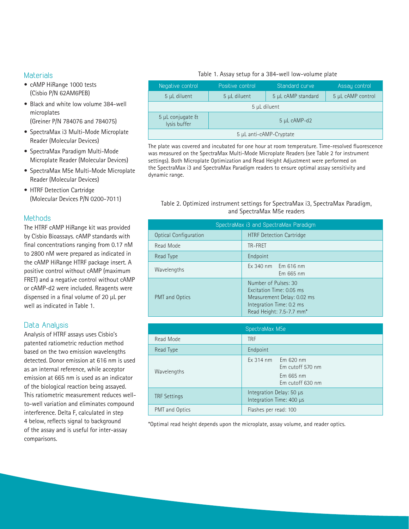# **Materials**

- cAMP HiRange 1000 tests (Cisbio P/N 62AM6PEB)
- Black and white low volume 384-well microplates (Greiner P/N 784076 and 784075)
- SpectraMax i3 Multi-Mode Microplate Reader (Molecular Devices)
- SpectraMax Paradigm Multi-Mode Microplate Reader (Molecular Devices)
- SpectraMax M5e Multi-Mode Microplate Reader (Molecular Devices)
- HTRF Detection Cartridge (Molecular Devices P/N 0200-7011)

# **Methods**

The HTRF cAMP HiRange kit was provided by Cisbio Bioassays. cAMP standards with final concentrations ranging from 0.17 nM to 2800 nM were prepared as indicated in the cAMP HiRange HTRF package insert. A positive control without cAMP (maximum FRET) and a negative control without cAMP or cAMP-d2 were included. Reagents were dispensed in a final volume of 20 μL per well as indicated in Table 1.

# Data Analysis

Analysis of HTRF assays uses Cisbio's patented ratiometric reduction method based on the two emission wavelengths detected. Donor emission at 616 nm is used as an internal reference, while acceptor emission at 665 nm is used as an indicator of the biological reaction being assayed. This ratiometric measurement reduces wellto-well variation and eliminates compound interference. Delta F, calculated in step 4 below, reflects signal to background of the assay and is useful for inter-assay comparisons.

### Table 1. Assay setup for a 384-well low-volume plate

| Negative control                 | Positive control | Standard curve     | Assay control     |  |  |  |
|----------------------------------|------------------|--------------------|-------------------|--|--|--|
| 5 µL diluent                     | 5 µL diluent     | 5 µL cAMP standard | 5 µL cAMP control |  |  |  |
| 5 µL diluent                     |                  |                    |                   |  |  |  |
| 5 µL conjugate &<br>lysis buffer | 5 µL cAMP-d2     |                    |                   |  |  |  |
| 5 µL anti-cAMP-Cryptate          |                  |                    |                   |  |  |  |

The plate was covered and incubated for one hour at room temperature. Time-resolved fluorescence was measured on the SpectraMax Multi-Mode Microplate Readers (see Table 2 for instrument settings). Both Microplate Optimization and Read Height Adjustment were performed on the SpectraMax i3 and SpectraMax Paradigm readers to ensure optimal assay sensitivity and dynamic range.

# Table 2. Optimized instrument settings for SpectraMax i3, SpectraMax Paradigm, and SpectraMax M5e readers

| SpectraMax i3 and SpectraMax Paradigm |                                                                                                                                        |  |  |  |
|---------------------------------------|----------------------------------------------------------------------------------------------------------------------------------------|--|--|--|
| <b>Optical Configuration</b>          | <b>HTRF Detection Cartridge</b>                                                                                                        |  |  |  |
| Read Mode                             | TR-FRET                                                                                                                                |  |  |  |
| Read Type                             | Endpoint                                                                                                                               |  |  |  |
| Wavelengths                           | $Ex$ 340 nm Em 616 nm<br>Em 665 nm                                                                                                     |  |  |  |
| PMT and Optics                        | Number of Pulses: 30<br>Excitation Time: 0.05 ms<br>Measurement Delay: 0.02 ms<br>Integration Time: 0.2 ms<br>Read Height: 7.5-7.7 mm* |  |  |  |

| SpectraMax M5e      |                                                                              |  |  |  |
|---------------------|------------------------------------------------------------------------------|--|--|--|
| Read Mode           | <b>TRF</b>                                                                   |  |  |  |
| Read Type           | Endpoint                                                                     |  |  |  |
| Wavelengths         | $Ex$ 314 nm<br>Em 620 nm<br>Em cutoff 570 nm<br>Em665 nm<br>Em cutoff 630 nm |  |  |  |
| <b>TRF Settings</b> | Integration Delay: 50 µs<br>Integration Time: 400 µs                         |  |  |  |
| PMT and Optics      | Flashes per read: 100                                                        |  |  |  |

\*Optimal read height depends upon the microplate, assay volume, and reader optics.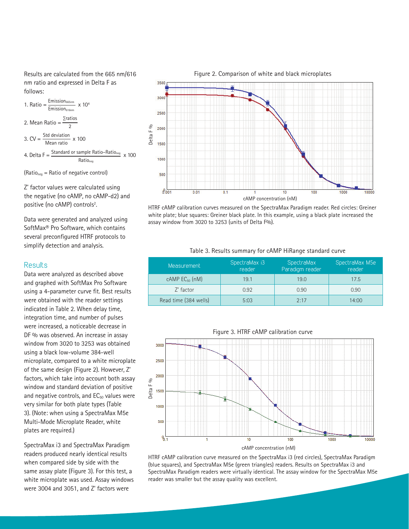Results are calculated from the 665 nm/616 nm ratio and expressed in Delta F as follows:



(Rationeg = Ratio of negative control)

Z' factor values were calculated using the negative (no cAMP, no cAMP-d2) and positive (no cAMP) controls<sup>2</sup>.

Data were generated and analyzed using SoftMax® Pro Software, which contains several preconfigured HTRF protocols to simplify detection and analysis.

# **Results**

Data were analyzed as described above and graphed with SoftMax Pro Software using a 4-parameter curve fit. Best results were obtained with the reader settings indicated in Table 2. When delay time, integration time, and number of pulses were increased, a noticeable decrease in DF % was observed. An increase in assay window from 3020 to 3253 was obtained using a black low-volume 384-well microplate, compared to a white microplate of the same design (Figure 2). However, Z' factors, which take into account both assay window and standard deviation of positive and negative controls, and  $EC_{50}$  values were very similar for both plate types (Table 3). (Note: when using a SpectraMax M5e Multi-Mode Microplate Reader, white plates are required.)

SpectraMax i3 and SpectraMax Paradigm readers produced nearly identical results when compared side by side with the same assay plate (Figure 3). For this test, a white microplate was used. Assay windows were 3004 and 3051, and Z' factors were



HTRF cAMP calibration curves measured on the SpectraMax Paradigm reader. Red circles: Greiner white plate; blue squares: Greiner black plate. In this example, using a black plate increased the assay window from 3020 to 3253 (units of Delta F%).

#### Table 3. Results summary for cAMP HiRange standard curve

| Measurement             | SpectraMax i3<br>reader | SpectraMax<br>Paradigm reader | SpectraMax M5e<br>reader |
|-------------------------|-------------------------|-------------------------------|--------------------------|
| $cAMP$ $EC_{50}$ $(nM)$ | 19.1                    | 19.0                          | 17.5                     |
| Z' factor               | 0.92                    | 0.90                          | 0.90                     |
| Read time (384 wells)   | 5:03                    | 2.17                          | 14:00                    |



HTRF cAMP calibration curve measured on the SpectraMax i3 (red circles), SpectraMax Paradigm (blue squares), and SpectraMax M5e (green triangles) readers. Results on SpectraMax i3 and SpectraMax Paradigm readers were virtually identical. The assay window for the SpectraMax M5e reader was smaller but the assay quality was excellent.

#### Figure 2. Comparison of white and black microplates